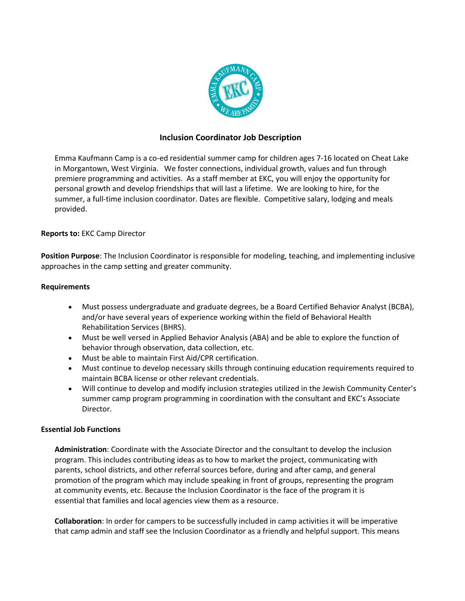

# **Inclusion Coordinator Job Description**

Emma Kaufmann Camp is a co-ed residential summer camp for children ages 7-16 located on Cheat Lake in Morgantown, West Virginia. We foster connections, individual growth, values and fun through premiere programming and activities. As a staff member at EKC, you will enjoy the opportunity for personal growth and develop friendships that will last a lifetime. We are looking to hire, for the summer, a full-time inclusion coordinator. Dates are flexible. Competitive salary, lodging and meals provided.

# **Reports to:** EKC Camp Director

**Position Purpose**: The Inclusion Coordinator is responsible for modeling, teaching, and implementing inclusive approaches in the camp setting and greater community.

#### **Requirements**

- Must possess undergraduate and graduate degrees, be a Board Certified Behavior Analyst (BCBA), and/or have several years of experience working within the field of Behavioral Health Rehabilitation Services (BHRS).
- Must be well versed in Applied Behavior Analysis (ABA) and be able to explore the function of behavior through observation, data collection, etc.
- Must be able to maintain First Aid/CPR certification.
- Must continue to develop necessary skills through continuing education requirements required to maintain BCBA license or other relevant credentials.
- Will continue to develop and modify inclusion strategies utilized in the Jewish Community Center's summer camp program programming in coordination with the consultant and EKC's Associate Director.

# **Essential Job Functions**

**Administration**: Coordinate with the Associate Director and the consultant to develop the inclusion program. This includes contributing ideas as to how to market the project, communicating with parents, school districts, and other referral sources before, during and after camp, and general promotion of the program which may include speaking in front of groups, representing the program at community events, etc. Because the Inclusion Coordinator is the face of the program it is essential that families and local agencies view them as a resource.

**Collaboration**: In order for campers to be successfully included in camp activities it will be imperative that camp admin and staff see the Inclusion Coordinator as a friendly and helpful support. This means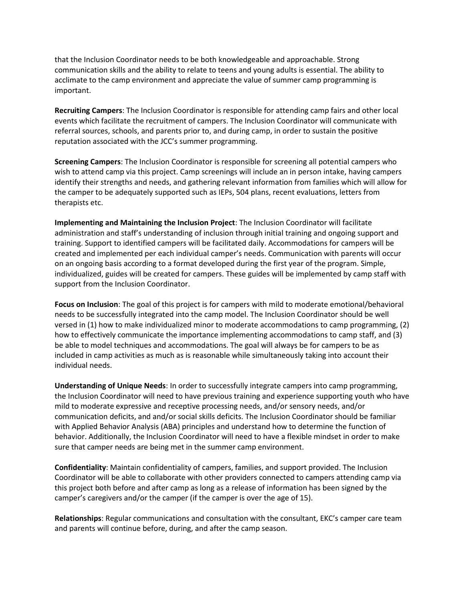that the Inclusion Coordinator needs to be both knowledgeable and approachable. Strong communication skills and the ability to relate to teens and young adults is essential. The ability to acclimate to the camp environment and appreciate the value of summer camp programming is important.

**Recruiting Campers**: The Inclusion Coordinator is responsible for attending camp fairs and other local events which facilitate the recruitment of campers. The Inclusion Coordinator will communicate with referral sources, schools, and parents prior to, and during camp, in order to sustain the positive reputation associated with the JCC's summer programming.

**Screening Campers**: The Inclusion Coordinator is responsible for screening all potential campers who wish to attend camp via this project. Camp screenings will include an in person intake, having campers identify their strengths and needs, and gathering relevant information from families which will allow for the camper to be adequately supported such as IEPs, 504 plans, recent evaluations, letters from therapists etc.

**Implementing and Maintaining the Inclusion Project**: The Inclusion Coordinator will facilitate administration and staff's understanding of inclusion through initial training and ongoing support and training. Support to identified campers will be facilitated daily. Accommodations for campers will be created and implemented per each individual camper's needs. Communication with parents will occur on an ongoing basis according to a format developed during the first year of the program. Simple, individualized, guides will be created for campers. These guides will be implemented by camp staff with support from the Inclusion Coordinator.

**Focus on Inclusion**: The goal of this project is for campers with mild to moderate emotional/behavioral needs to be successfully integrated into the camp model. The Inclusion Coordinator should be well versed in (1) how to make individualized minor to moderate accommodations to camp programming, (2) how to effectively communicate the importance implementing accommodations to camp staff, and (3) be able to model techniques and accommodations. The goal will always be for campers to be as included in camp activities as much as is reasonable while simultaneously taking into account their individual needs.

**Understanding of Unique Needs**: In order to successfully integrate campers into camp programming, the Inclusion Coordinator will need to have previous training and experience supporting youth who have mild to moderate expressive and receptive processing needs, and/or sensory needs, and/or communication deficits, and and/or social skills deficits. The Inclusion Coordinator should be familiar with Applied Behavior Analysis (ABA) principles and understand how to determine the function of behavior. Additionally, the Inclusion Coordinator will need to have a flexible mindset in order to make sure that camper needs are being met in the summer camp environment.

**Confidentiality**: Maintain confidentiality of campers, families, and support provided. The Inclusion Coordinator will be able to collaborate with other providers connected to campers attending camp via this project both before and after camp as long as a release of information has been signed by the camper's caregivers and/or the camper (if the camper is over the age of 15).

**Relationships**: Regular communications and consultation with the consultant, EKC's camper care team and parents will continue before, during, and after the camp season.